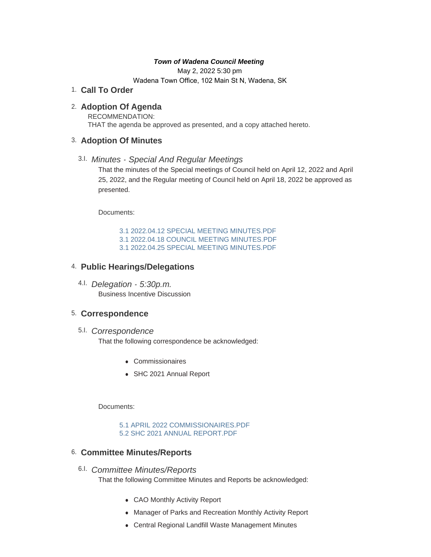### *Town of Wadena Council Meeting*

May 2, 2022 5:30 pm

Wadena Town Office, 102 Main St N, Wadena, SK

## **Call To Order** 1.

## **Adoption Of Agenda** 2.

RECOMMENDATION: THAT the agenda be approved as presented, and a copy attached hereto.

## **Adoption Of Minutes** 3.

# *Minutes - Special And Regular Meetings* 3.I.

That the minutes of the Special meetings of Council held on April 12, 2022 and April 25, 2022, and the Regular meeting of Council held on April 18, 2022 be approved as presented.

Documents:

[3.1 2022.04.12 SPECIAL MEETING MINUTES.PDF](http://townofwadena.com/AgendaCenter/ViewFile/Item/3577?fileID=4246) [3.1 2022.04.18 COUNCIL MEETING MINUTES.PDF](http://townofwadena.com/AgendaCenter/ViewFile/Item/3577?fileID=4247) [3.1 2022.04.25 SPECIAL MEETING MINUTES.PDF](http://townofwadena.com/AgendaCenter/ViewFile/Item/3577?fileID=4248)

# **Public Hearings/Delegations** 4.

*Delegation - 5:30p.m.* 4.I. Business Incentive Discussion

## **Correspondence** 5.

*Correspondence* 5.I.

That the following correspondence be acknowledged:

- Commissionaires
- SHC 2021 Annual Report

Documents:

[5.1 APRIL 2022 COMMISSIONAIRES.PDF](http://townofwadena.com/AgendaCenter/ViewFile/Item/3539?fileID=4244) [5.2 SHC 2021 ANNUAL REPORT.PDF](http://townofwadena.com/AgendaCenter/ViewFile/Item/3539?fileID=4245)

## **Committee Minutes/Reports** 6.

- *Committee Minutes/Reports* 6.I. That the following Committee Minutes and Reports be acknowledged:
	- CAO Monthly Activity Report
	- Manager of Parks and Recreation Monthly Activity Report
	- Central Regional Landfill Waste Management Minutes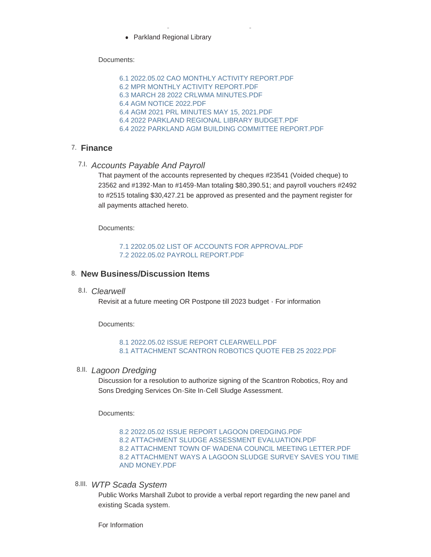• Parkland Regional Library

Documents:

[6.1 2022.05.02 CAO MONTHLY ACTIVITY REPORT.PDF](http://townofwadena.com/AgendaCenter/ViewFile/Item/2758?fileID=4249) [6.2 MPR MONTHLY ACTIVITY REPORT.PDF](http://townofwadena.com/AgendaCenter/ViewFile/Item/2758?fileID=4250) [6.3 MARCH 28 2022 CRLWMA MINUTES.PDF](http://townofwadena.com/AgendaCenter/ViewFile/Item/2758?fileID=4251) [6.4 AGM NOTICE 2022.PDF](http://townofwadena.com/AgendaCenter/ViewFile/Item/2758?fileID=4252) [6.4 AGM 2021 PRL MINUTES MAY 15, 2021.PDF](http://townofwadena.com/AgendaCenter/ViewFile/Item/2758?fileID=4253) [6.4 2022 PARKLAND REGIONAL LIBRARY BUDGET.PDF](http://townofwadena.com/AgendaCenter/ViewFile/Item/2758?fileID=4254) [6.4 2022 PARKLAND AGM BUILDING COMMITTEE REPORT.PDF](http://townofwadena.com/AgendaCenter/ViewFile/Item/2758?fileID=4255)

<sup>l</sup> Central Regional Landfill Waste Management Minutes

## **Finance** 7.

*Accounts Payable And Payroll* 7.I.

That payment of the accounts represented by cheques #23541 (Voided cheque) to 23562 and #1392-Man to #1459-Man totaling \$80,390.51; and payroll vouchers #2492 to #2515 totaling \$30,427.21 be approved as presented and the payment register for all payments attached hereto.

Documents:

[7.1 2202.05.02 LIST OF ACCOUNTS FOR APPROVAL.PDF](http://townofwadena.com/AgendaCenter/ViewFile/Item/2677?fileID=4256) [7.2 2022.05.02 PAYROLL REPORT.PDF](http://townofwadena.com/AgendaCenter/ViewFile/Item/2677?fileID=4257)

### **New Business/Discussion Items** 8.

*Clearwell* 8.I.

Revisit at a future meeting OR Postpone till 2023 budget - For information

Documents:

#### [8.1 2022.05.02 ISSUE REPORT CLEARWELL.PDF](http://townofwadena.com/AgendaCenter/ViewFile/Item/3619?fileID=4258) [8.1 ATTACHMENT SCANTRON ROBOTICS QUOTE FEB 25 2022.PDF](http://townofwadena.com/AgendaCenter/ViewFile/Item/3619?fileID=4259)

*Lagoon Dredging* 8.II.

Discussion for a resolution to authorize signing of the Scantron Robotics, Roy and Sons Dredging Services On-Site In-Cell Sludge Assessment.

Documents:

[8.2 2022.05.02 ISSUE REPORT LAGOON DREDGING.PDF](http://townofwadena.com/AgendaCenter/ViewFile/Item/3620?fileID=4260) [8.2 ATTACHMENT SLUDGE ASSESSMENT EVALUATION.PDF](http://townofwadena.com/AgendaCenter/ViewFile/Item/3620?fileID=4261) [8.2 ATTACHMENT TOWN OF WADENA COUNCIL MEETING LETTER.PDF](http://townofwadena.com/AgendaCenter/ViewFile/Item/3620?fileID=4262) [8.2 ATTACHMENT WAYS A LAGOON SLUDGE SURVEY SAVES YOU TIME](http://townofwadena.com/AgendaCenter/ViewFile/Item/3620?fileID=4263)  AND MONEY.PDF

*WTP Scada System* 8.III.

Public Works Marshall Zubot to provide a verbal report regarding the new panel and existing Scada system.

For Information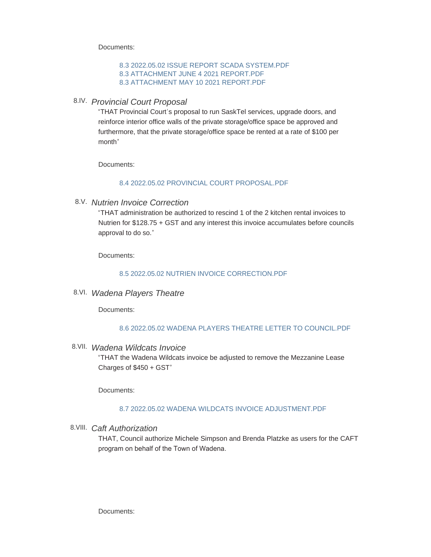Documents:

### [8.3 2022.05.02 ISSUE REPORT SCADA SYSTEM.PDF](http://townofwadena.com/AgendaCenter/ViewFile/Item/3621?fileID=4264) [8.3 ATTACHMENT JUNE 4 2021 REPORT.PDF](http://townofwadena.com/AgendaCenter/ViewFile/Item/3621?fileID=4265) [8.3 ATTACHMENT MAY 10 2021 REPORT.PDF](http://townofwadena.com/AgendaCenter/ViewFile/Item/3621?fileID=4266)

### *Provincial Court Proposal* 8.IV.

"THAT Provincial Court's proposal to run SaskTel services, upgrade doors, and reinforce interior office walls of the private storage/office space be approved and furthermore, that the private storage/office space be rented at a rate of \$100 per month"

Documents:

### [8.4 2022.05.02 PROVINCIAL COURT PROPOSAL.PDF](http://townofwadena.com/AgendaCenter/ViewFile/Item/3622?fileID=4267)

*Nutrien Invoice Correction* 8.V.

"THAT administration be authorized to rescind 1 of the 2 kitchen rental invoices to Nutrien for \$128.75 + GST and any interest this invoice accumulates before councils approval to do so."

Documents:

### [8.5 2022.05.02 NUTRIEN INVOICE CORRECTION.PDF](http://townofwadena.com/AgendaCenter/ViewFile/Item/3623?fileID=4268)

*Wadena Players Theatre* 8.VI.

Documents:

### [8.6 2022.05.02 WADENA PLAYERS THEATRE LETTER TO COUNCIL.PDF](http://townofwadena.com/AgendaCenter/ViewFile/Item/3624?fileID=4269)

*Wadena Wildcats Invoice* 8.VII.

"THAT the Wadena Wildcats invoice be adjusted to remove the Mezzanine Lease Charges of \$450 + GST"

Documents:

### [8.7 2022.05.02 WADENA WILDCATS INVOICE ADJUSTMENT.PDF](http://townofwadena.com/AgendaCenter/ViewFile/Item/3625?fileID=4270)

*Caft Authorization* 8.VIII.

THAT, Council authorize Michele Simpson and Brenda Platzke as users for the CAFT program on behalf of the Town of Wadena.

Documents: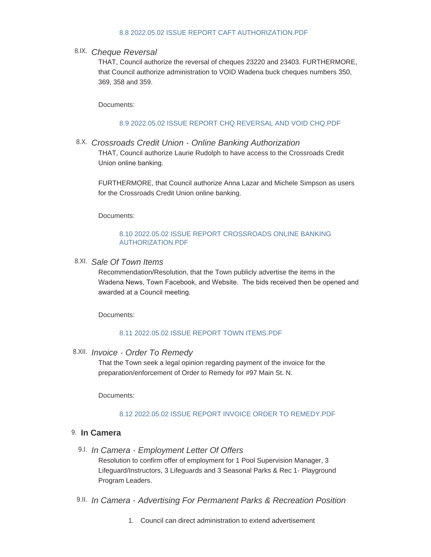### [8.8 2022.05.02 ISSUE REPORT CAFT AUTHORIZATION.PDF](http://townofwadena.com/AgendaCenter/ViewFile/Item/3626?fileID=4271)

### *Cheque Reversal* 8.IX.

THAT, Council authorize the reversal of cheques 23220 and 23403. FURTHERMORE, that Council authorize administration to VOID Wadena buck cheques numbers 350, 369, 358 and 359.

Documents:

### [8.9 2022.05.02 ISSUE REPORT CHQ REVERSAL AND VOID CHQ.PDF](http://townofwadena.com/AgendaCenter/ViewFile/Item/3627?fileID=4272)

*Crossroads Credit Union - Online Banking Authorization* 8.X. THAT, Council authorize Laurie Rudolph to have access to the Crossroads Credit Union online banking.

FURTHERMORE, that Council authorize Anna Lazar and Michele Simpson as users for the Crossroads Credit Union online banking.

Documents:

### [8.10 2022.05.02 ISSUE REPORT CROSSROADS ONLINE BANKING](http://townofwadena.com/AgendaCenter/ViewFile/Item/3628?fileID=4273)  AUTHORIZATION.PDF

## *Sale Of Town Items* 8.XI.

Recommendation/Resolution, that the Town publicly advertise the items in the Wadena News, Town Facebook, and Website. The bids received then be opened and awarded at a Council meeting.

Documents:

### [8.11 2022.05.02 ISSUE REPORT TOWN ITEMS.PDF](http://townofwadena.com/AgendaCenter/ViewFile/Item/3629?fileID=4274)

### *Invoice - Order To Remedy* 8.XII.

That the Town seek a legal opinion regarding payment of the invoice for the preparation/enforcement of Order to Remedy for #97 Main St. N.

Documents:

### [8.12 2022.05.02 ISSUE REPORT INVOICE ORDER TO REMEDY.PDF](http://townofwadena.com/AgendaCenter/ViewFile/Item/3630?fileID=4275)

### **In Camera** 9.

*In Camera - Employment Letter Of Offers*  9.I.

Resolution to confirm offer of employment for 1 Pool Supervision Manager, 3 Lifeguard/Instructors, 3 Lifeguards and 3 Seasonal Parks & Rec 1- Playground Program Leaders.

*In Camera - Advertising For Permanent Parks & Recreation Position* 9.II.

1. Council can direct administration to extend advertisement